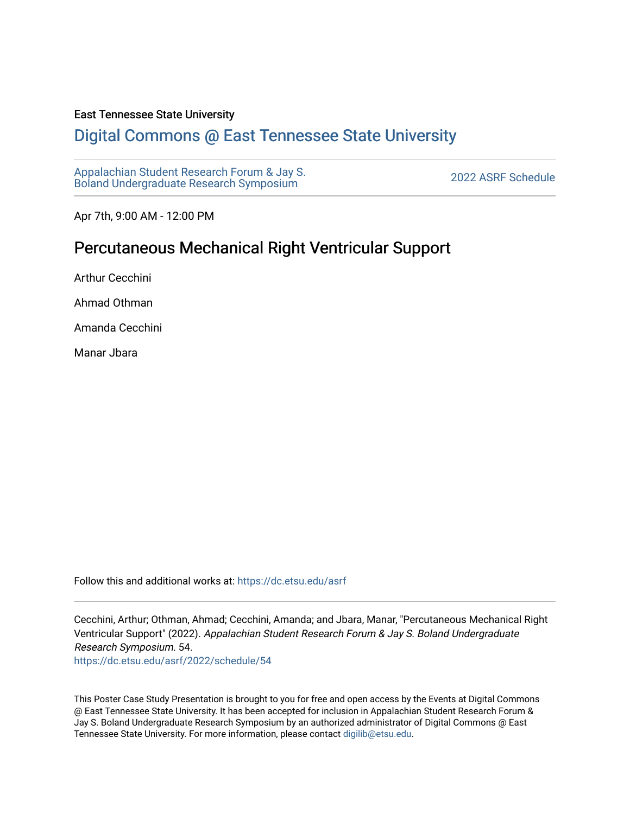### East Tennessee State University

### [Digital Commons @ East Tennessee State University](https://dc.etsu.edu/)

[Appalachian Student Research Forum & Jay S.](https://dc.etsu.edu/asrf)  Appalactifalt Student Research Forum & Jay S.<br>Boland Undergraduate Research Symposium

Apr 7th, 9:00 AM - 12:00 PM

### Percutaneous Mechanical Right Ventricular Support

Arthur Cecchini

Ahmad Othman

Amanda Cecchini

Manar Jbara

Follow this and additional works at: [https://dc.etsu.edu/asrf](https://dc.etsu.edu/asrf?utm_source=dc.etsu.edu%2Fasrf%2F2022%2Fschedule%2F54&utm_medium=PDF&utm_campaign=PDFCoverPages) 

Cecchini, Arthur; Othman, Ahmad; Cecchini, Amanda; and Jbara, Manar, "Percutaneous Mechanical Right Ventricular Support" (2022). Appalachian Student Research Forum & Jay S. Boland Undergraduate Research Symposium. 54.

[https://dc.etsu.edu/asrf/2022/schedule/54](https://dc.etsu.edu/asrf/2022/schedule/54?utm_source=dc.etsu.edu%2Fasrf%2F2022%2Fschedule%2F54&utm_medium=PDF&utm_campaign=PDFCoverPages) 

This Poster Case Study Presentation is brought to you for free and open access by the Events at Digital Commons @ East Tennessee State University. It has been accepted for inclusion in Appalachian Student Research Forum & Jay S. Boland Undergraduate Research Symposium by an authorized administrator of Digital Commons @ East Tennessee State University. For more information, please contact [digilib@etsu.edu](mailto:digilib@etsu.edu).